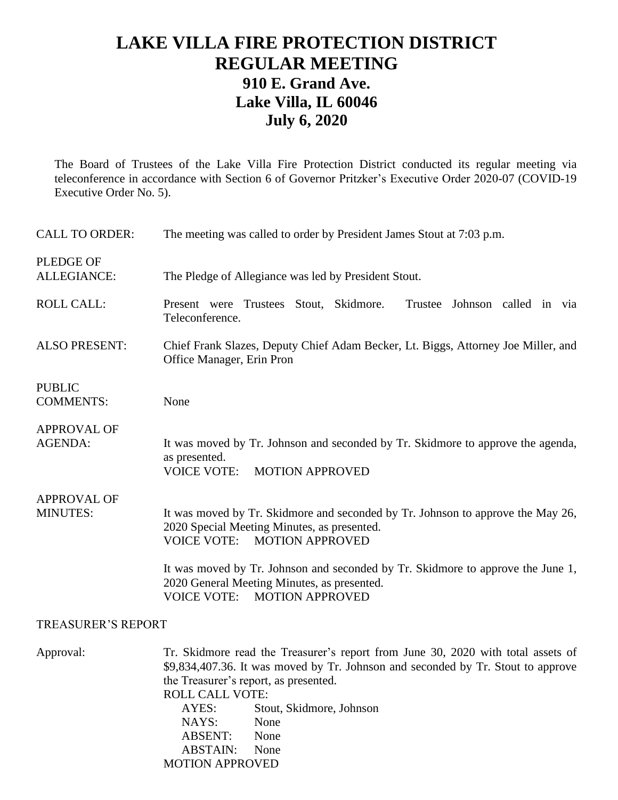## **LAKE VILLA FIRE PROTECTION DISTRICT REGULAR MEETING 910 E. Grand Ave. Lake Villa, IL 60046 July 6, 2020**

The Board of Trustees of the Lake Villa Fire Protection District conducted its regular meeting via teleconference in accordance with Section 6 of Governor Pritzker's Executive Order 2020-07 (COVID-19 Executive Order No. 5).

| <b>CALL TO ORDER:</b>                  | The meeting was called to order by President James Stout at 7:03 p.m.                                                                                                          |
|----------------------------------------|--------------------------------------------------------------------------------------------------------------------------------------------------------------------------------|
| <b>PLEDGE OF</b><br><b>ALLEGIANCE:</b> | The Pledge of Allegiance was led by President Stout.                                                                                                                           |
| <b>ROLL CALL:</b>                      | Present were Trustees Stout, Skidmore.<br>Trustee Johnson called in via<br>Teleconference.                                                                                     |
| <b>ALSO PRESENT:</b>                   | Chief Frank Slazes, Deputy Chief Adam Becker, Lt. Biggs, Attorney Joe Miller, and<br>Office Manager, Erin Pron                                                                 |
| <b>PUBLIC</b><br><b>COMMENTS:</b>      | None                                                                                                                                                                           |
| <b>APPROVAL OF</b><br>AGENDA:          | It was moved by Tr. Johnson and seconded by Tr. Skidmore to approve the agenda,<br>as presented.<br><b>VOICE VOTE:</b><br><b>MOTION APPROVED</b>                               |
| <b>APPROVAL OF</b><br><b>MINUTES:</b>  | It was moved by Tr. Skidmore and seconded by Tr. Johnson to approve the May 26,<br>2020 Special Meeting Minutes, as presented.<br><b>VOICE VOTE:</b><br><b>MOTION APPROVED</b> |
|                                        | It was moved by Tr. Johnson and seconded by Tr. Skidmore to approve the June 1,<br>2020 General Meeting Minutes, as presented.<br><b>VOICE VOTE:</b><br><b>MOTION APPROVED</b> |
| <b>TREASURER'S REPORT</b>              |                                                                                                                                                                                |

Approval: Tr. Skidmore read the Treasurer's report from June 30, 2020 with total assets of \$9,834,407.36. It was moved by Tr. Johnson and seconded by Tr. Stout to approve the Treasurer's report, as presented. ROLL CALL VOTE: AYES: Stout, Skidmore, Johnson NAYS: None ABSENT: None ABSTAIN: None MOTION APPROVED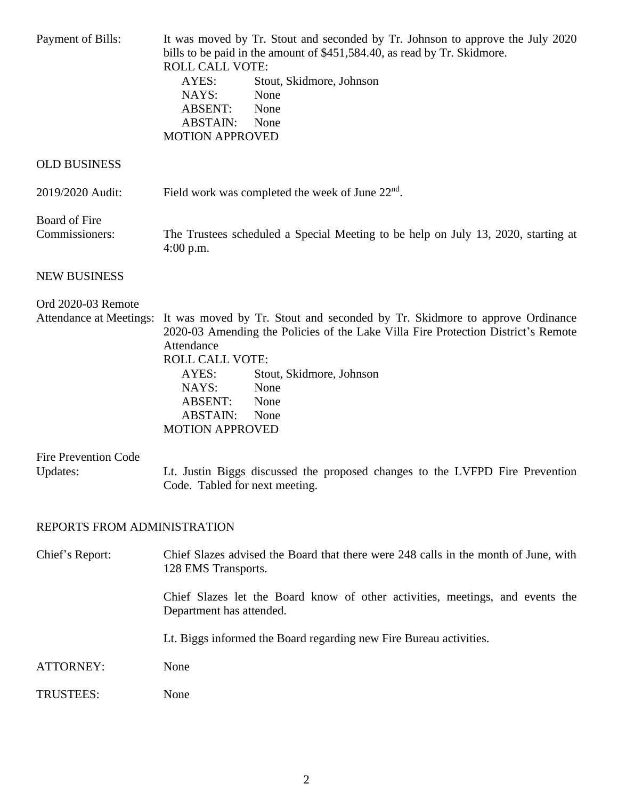| Payment of Bills:                       | It was moved by Tr. Stout and seconded by Tr. Johnson to approve the July 2020<br>bills to be paid in the amount of \$451,584.40, as read by Tr. Skidmore.<br><b>ROLL CALL VOTE:</b><br>Stout, Skidmore, Johnson<br>AYES:<br>NAYS:<br>None<br><b>ABSENT:</b><br>None<br><b>ABSTAIN:</b><br>None<br><b>MOTION APPROVED</b>                                             |
|-----------------------------------------|-----------------------------------------------------------------------------------------------------------------------------------------------------------------------------------------------------------------------------------------------------------------------------------------------------------------------------------------------------------------------|
| <b>OLD BUSINESS</b>                     |                                                                                                                                                                                                                                                                                                                                                                       |
| 2019/2020 Audit:                        | Field work was completed the week of June $22nd$ .                                                                                                                                                                                                                                                                                                                    |
| Board of Fire<br>Commissioners:         | The Trustees scheduled a Special Meeting to be help on July 13, 2020, starting at<br>$4:00$ p.m.                                                                                                                                                                                                                                                                      |
| <b>NEW BUSINESS</b>                     |                                                                                                                                                                                                                                                                                                                                                                       |
| Ord 2020-03 Remote                      | Attendance at Meetings: It was moved by Tr. Stout and seconded by Tr. Skidmore to approve Ordinance<br>2020-03 Amending the Policies of the Lake Villa Fire Protection District's Remote<br>Attendance<br><b>ROLL CALL VOTE:</b><br>Stout, Skidmore, Johnson<br>AYES:<br>NAYS:<br>None<br><b>ABSENT:</b><br>None<br><b>ABSTAIN:</b><br>None<br><b>MOTION APPROVED</b> |
| <b>Fire Prevention Code</b><br>Updates: | Lt. Justin Biggs discussed the proposed changes to the LVFPD Fire Prevention<br>Code. Tabled for next meeting.                                                                                                                                                                                                                                                        |
| REPORTS FROM ADMINISTRATION             |                                                                                                                                                                                                                                                                                                                                                                       |
| Chief's Report:                         | Chief Slazes advised the Board that there were 248 calls in the month of June, with<br>128 EMS Transports.                                                                                                                                                                                                                                                            |
|                                         | Chief Slazes let the Board know of other activities, meetings, and events the<br>Department has attended.                                                                                                                                                                                                                                                             |
|                                         | Lt. Biggs informed the Board regarding new Fire Bureau activities.                                                                                                                                                                                                                                                                                                    |
| ATTORNEY:                               | None                                                                                                                                                                                                                                                                                                                                                                  |
| <b>TRUSTEES:</b>                        | None                                                                                                                                                                                                                                                                                                                                                                  |